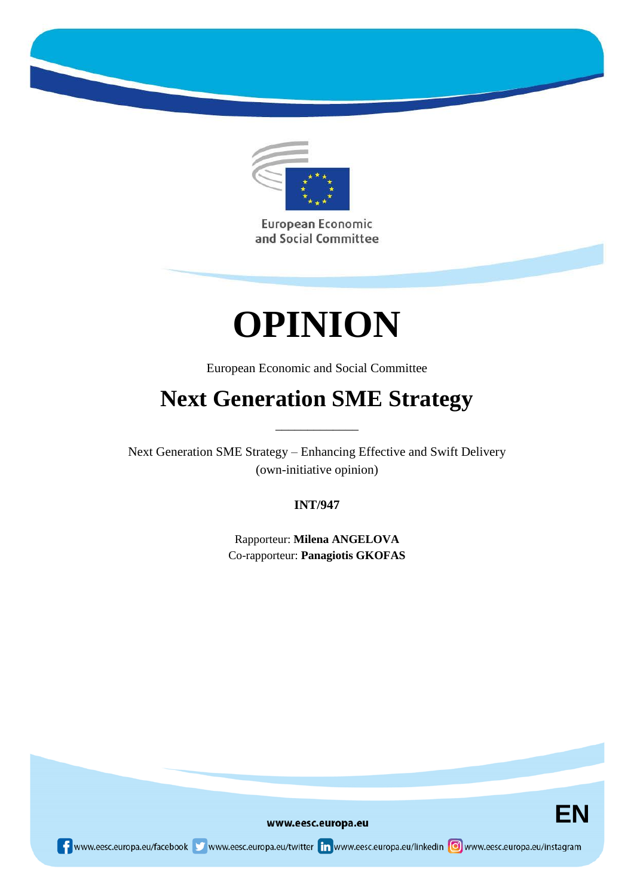

European Economic and Social Committee

# **OPINION**

European Economic and Social Committee

# **Next Generation SME Strategy**

\_\_\_\_\_\_\_\_\_\_\_\_\_

Next Generation SME Strategy – Enhancing Effective and Swift Delivery (own-initiative opinion)

# **INT/947**

Rapporteur: **Milena ANGELOVA** Co-rapporteur: **Panagiotis GKOFAS**



www.eesc.europa.eu

www.eesc.europa.eu/facebook www.eesc.europa.eu/twitter in www.eesc.europa.eu/linkedin oww.eesc.europa.eu/instagram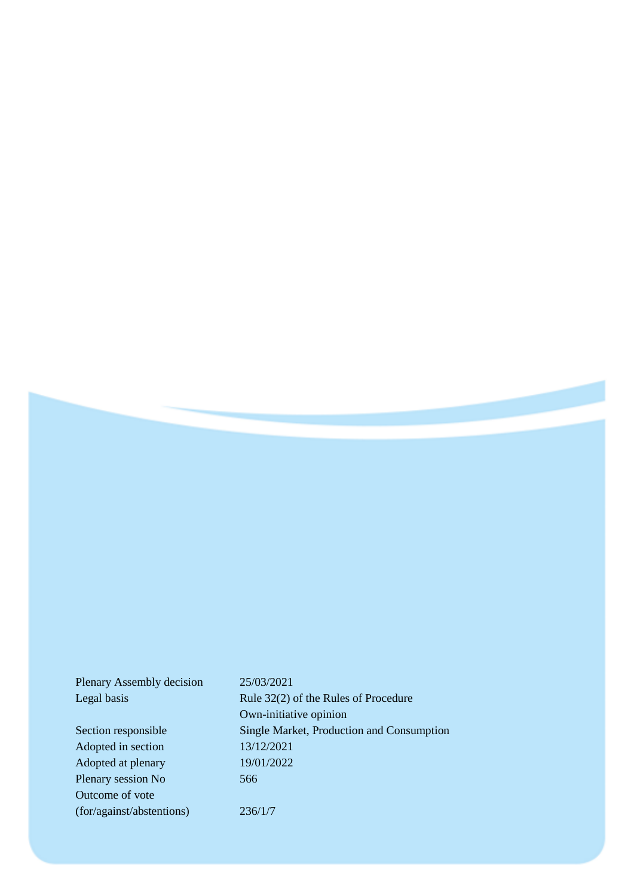| Plenary Assembly decision | 25/03/2021                                |
|---------------------------|-------------------------------------------|
| Legal basis               | Rule 32(2) of the Rules of Procedure      |
|                           | Own-initiative opinion                    |
| Section responsible       | Single Market, Production and Consumption |
| Adopted in section        | 13/12/2021                                |
| Adopted at plenary        | 19/01/2022                                |
| Plenary session No        | 566                                       |
| Outcome of vote           |                                           |
| (for/against/abstentions) | 236/1/7                                   |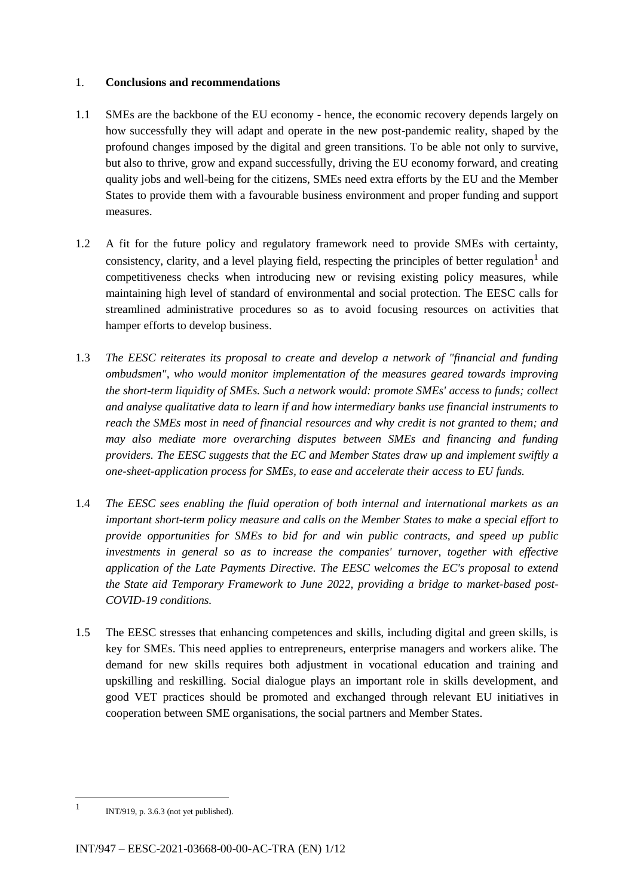#### 1. **Conclusions and recommendations**

- 1.1 SMEs are the backbone of the EU economy hence, the economic recovery depends largely on how successfully they will adapt and operate in the new post-pandemic reality, shaped by the profound changes imposed by the digital and green transitions. To be able not only to survive, but also to thrive, grow and expand successfully, driving the EU economy forward, and creating quality jobs and well-being for the citizens, SMEs need extra efforts by the EU and the Member States to provide them with a favourable business environment and proper funding and support measures.
- 1.2 A fit for the future policy and regulatory framework need to provide SMEs with certainty, consistency, clarity, and a level playing field, respecting the principles of better regulation<sup>1</sup> and competitiveness checks when introducing new or revising existing policy measures, while maintaining high level of standard of environmental and social protection. The EESC calls for streamlined administrative procedures so as to avoid focusing resources on activities that hamper efforts to develop business.
- 1.3 *The EESC reiterates its proposal to create and develop a network of "financial and funding ombudsmen", who would monitor implementation of the measures geared towards improving the short-term liquidity of SMEs. Such a network would: promote SMEs' access to funds; collect and analyse qualitative data to learn if and how intermediary banks use financial instruments to reach the SMEs most in need of financial resources and why credit is not granted to them; and may also mediate more overarching disputes between SMEs and financing and funding providers. The EESC suggests that the EC and Member States draw up and implement swiftly a one-sheet-application process for SMEs, to ease and accelerate their access to EU funds.*
- 1.4 *The EESC sees enabling the fluid operation of both internal and international markets as an important short-term policy measure and calls on the Member States to make a special effort to provide opportunities for SMEs to bid for and win public contracts, and speed up public investments in general so as to increase the companies' turnover, together with effective application of the Late Payments Directive. The EESC welcomes the EC's proposal to extend the State aid Temporary Framework to June 2022, providing a bridge to market-based post-COVID-19 conditions.*
- 1.5 The EESC stresses that enhancing competences and skills, including digital and green skills, is key for SMEs. This need applies to entrepreneurs, enterprise managers and workers alike. The demand for new skills requires both adjustment in vocational education and training and upskilling and reskilling. Social dialogue plays an important role in skills development, and good VET practices should be promoted and exchanged through relevant EU initiatives in cooperation between SME organisations, the social partners and Member States.

<sup>1</sup> INT/919, p. 3.6.3 (not yet published).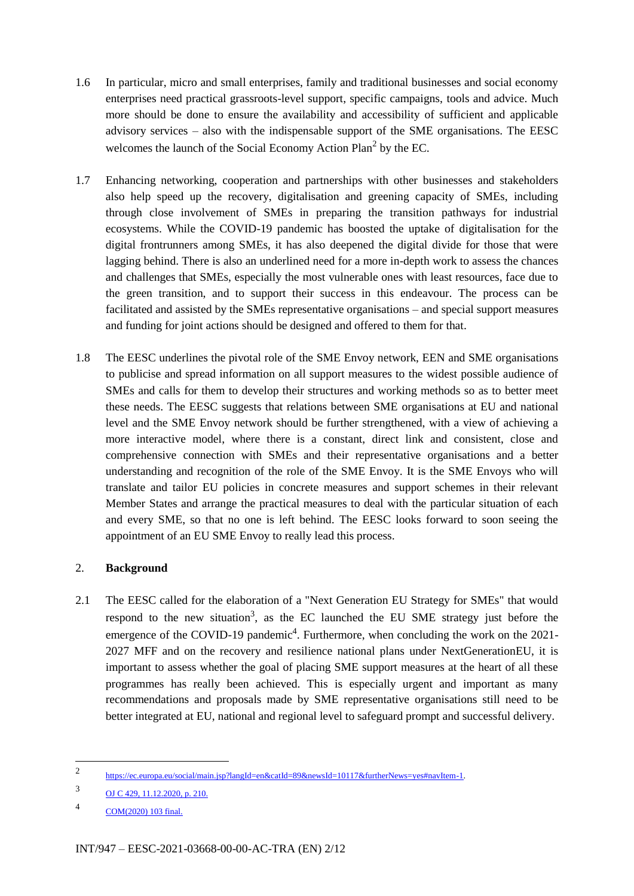- 1.6 In particular, micro and small enterprises, family and traditional businesses and social economy enterprises need practical grassroots-level support, specific campaigns, tools and advice. Much more should be done to ensure the availability and accessibility of sufficient and applicable advisory services – also with the indispensable support of the SME organisations. The EESC welcomes the launch of the Social Economy Action Plan<sup>2</sup> by the EC.
- 1.7 Enhancing networking, cooperation and partnerships with other businesses and stakeholders also help speed up the recovery, digitalisation and greening capacity of SMEs, including through close involvement of SMEs in preparing the transition pathways for industrial ecosystems. While the COVID-19 pandemic has boosted the uptake of digitalisation for the digital frontrunners among SMEs, it has also deepened the digital divide for those that were lagging behind. There is also an underlined need for a more in-depth work to assess the chances and challenges that SMEs, especially the most vulnerable ones with least resources, face due to the green transition, and to support their success in this endeavour. The process can be facilitated and assisted by the SMEs representative organisations – and special support measures and funding for joint actions should be designed and offered to them for that.
- 1.8 The EESC underlines the pivotal role of the SME Envoy network, EEN and SME organisations to publicise and spread information on all support measures to the widest possible audience of SMEs and calls for them to develop their structures and working methods so as to better meet these needs. The EESC suggests that relations between SME organisations at EU and national level and the SME Envoy network should be further strengthened, with a view of achieving a more interactive model, where there is a constant, direct link and consistent, close and comprehensive connection with SMEs and their representative organisations and a better understanding and recognition of the role of the SME Envoy. It is the SME Envoys who will translate and tailor EU policies in concrete measures and support schemes in their relevant Member States and arrange the practical measures to deal with the particular situation of each and every SME, so that no one is left behind. The EESC looks forward to soon seeing the appointment of an EU SME Envoy to really lead this process.

# 2. **Background**

2.1 The EESC called for the elaboration of a "Next Generation EU Strategy for SMEs" that would respond to the new situation<sup>3</sup>, as the EC launched the EU SME strategy just before the emergence of the COVID-19 pandemic<sup>4</sup>. Furthermore, when concluding the work on the 2021-2027 MFF and on the recovery and resilience national plans under NextGenerationEU, it is important to assess whether the goal of placing SME support measures at the heart of all these programmes has really been achieved. This is especially urgent and important as many recommendations and proposals made by SME representative organisations still need to be better integrated at EU, national and regional level to safeguard prompt and successful delivery.

 $\overline{2}$ [https://ec.europa.eu/social/main.jsp?langId=en&catId=89&newsId=10117&furtherNews=yes#navItem-1.](https://ec.europa.eu/social/main.jsp?langId=en&catId=89&newsId=10117&furtherNews=yes#navItem-1)

<sup>3</sup> [OJ C 429, 11.12.2020, p. 210.](https://eur-lex.europa.eu/legal-content/EN/TXT/PDF/?uri=OJ:C:2020:429:FULL&from=EN)

<sup>4</sup> [COM\(2020\) 103 final.](https://eur-lex.europa.eu/legal-content/EN/TXT/?uri=COM:2020:103:FIN)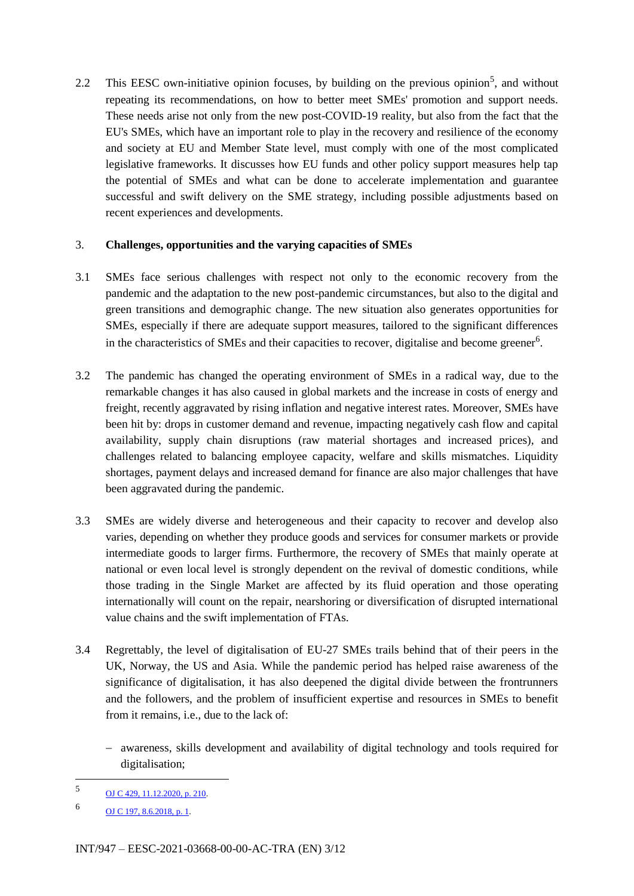2.2 This EESC own-initiative opinion focuses, by building on the previous opinion<sup>5</sup>, and without repeating its recommendations, on how to better meet SMEs' promotion and support needs. These needs arise not only from the new post-COVID-19 reality, but also from the fact that the EU's SMEs, which have an important role to play in the recovery and resilience of the economy and society at EU and Member State level, must comply with one of the most complicated legislative frameworks. It discusses how EU funds and other policy support measures help tap the potential of SMEs and what can be done to accelerate implementation and guarantee successful and swift delivery on the SME strategy, including possible adjustments based on recent experiences and developments.

#### 3. **Challenges, opportunities and the varying capacities of SMEs**

- 3.1 SMEs face serious challenges with respect not only to the economic recovery from the pandemic and the adaptation to the new post-pandemic circumstances, but also to the digital and green transitions and demographic change. The new situation also generates opportunities for SMEs, especially if there are adequate support measures, tailored to the significant differences in the characteristics of SMEs and their capacities to recover, digitalise and become greener<sup>6</sup>.
- 3.2 The pandemic has changed the operating environment of SMEs in a radical way, due to the remarkable changes it has also caused in global markets and the increase in costs of energy and freight, recently aggravated by rising inflation and negative interest rates. Moreover, SMEs have been hit by: drops in customer demand and revenue, impacting negatively cash flow and capital availability, supply chain disruptions (raw material shortages and increased prices), and challenges related to balancing employee capacity, welfare and skills mismatches. Liquidity shortages, payment delays and increased demand for finance are also major challenges that have been aggravated during the pandemic.
- 3.3 SMEs are widely diverse and heterogeneous and their capacity to recover and develop also varies, depending on whether they produce goods and services for consumer markets or provide intermediate goods to larger firms. Furthermore, the recovery of SMEs that mainly operate at national or even local level is strongly dependent on the revival of domestic conditions, while those trading in the Single Market are affected by its fluid operation and those operating internationally will count on the repair, nearshoring or diversification of disrupted international value chains and the swift implementation of FTAs.
- 3.4 Regrettably, the level of digitalisation of EU-27 SMEs trails behind that of their peers in the UK, Norway, the US and Asia. While the pandemic period has helped raise awareness of the significance of digitalisation, it has also deepened the digital divide between the frontrunners and the followers, and the problem of insufficient expertise and resources in SMEs to benefit from it remains, i.e., due to the lack of:
	- awareness, skills development and availability of digital technology and tools required for digitalisation;

<sup>5</sup> [OJ C 429, 11.12.2020, p. 210.](https://eur-lex.europa.eu/legal-content/EN/TXT/?uri=uriserv%3AOJ.C_.2020.429.01.0210.01.ENG&toc=OJ%3AC%3A2020%3A429%3ATOC)

<sup>6</sup> OJ [C 197, 8.6.2018, p. 1.](https://eur-lex.europa.eu/legal-content/EN/ALL/?uri=CELEX:52017AE4540)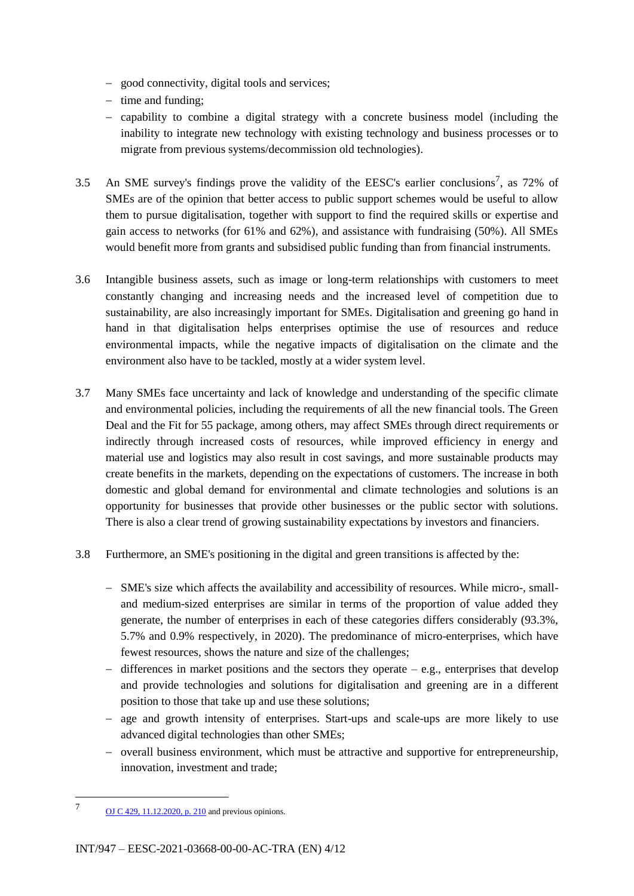- good connectivity, digital tools and services;
- $-$  time and funding;
- $-$  capability to combine a digital strategy with a concrete business model (including the inability to integrate new technology with existing technology and business processes or to migrate from previous systems/decommission old technologies).
- 3.5 An SME survey's findings prove the validity of the EESC's earlier conclusions<sup>7</sup>, as 72% of SMEs are of the opinion that better access to public support schemes would be useful to allow them to pursue digitalisation, together with support to find the required skills or expertise and gain access to networks (for 61% and 62%), and assistance with fundraising (50%). All SMEs would benefit more from grants and subsidised public funding than from financial instruments.
- 3.6 Intangible business assets, such as image or long-term relationships with customers to meet constantly changing and increasing needs and the increased level of competition due to sustainability, are also increasingly important for SMEs. Digitalisation and greening go hand in hand in that digitalisation helps enterprises optimise the use of resources and reduce environmental impacts, while the negative impacts of digitalisation on the climate and the environment also have to be tackled, mostly at a wider system level.
- 3.7 Many SMEs face uncertainty and lack of knowledge and understanding of the specific climate and environmental policies, including the requirements of all the new financial tools. The Green Deal and the Fit for 55 package, among others, may affect SMEs through direct requirements or indirectly through increased costs of resources, while improved efficiency in energy and material use and logistics may also result in cost savings, and more sustainable products may create benefits in the markets, depending on the expectations of customers. The increase in both domestic and global demand for environmental and climate technologies and solutions is an opportunity for businesses that provide other businesses or the public sector with solutions. There is also a clear trend of growing sustainability expectations by investors and financiers.
- 3.8 Furthermore, an SME's positioning in the digital and green transitions is affected by the:
	- SME's size which affects the availability and accessibility of resources. While micro-, smalland medium-sized enterprises are similar in terms of the proportion of value added they generate, the number of enterprises in each of these categories differs considerably (93.3%, 5.7% and 0.9% respectively, in 2020). The predominance of micro-enterprises, which have fewest resources, shows the nature and size of the challenges;
	- $-$  differences in market positions and the sectors they operate  $-$  e.g., enterprises that develop and provide technologies and solutions for digitalisation and greening are in a different position to those that take up and use these solutions;
	- age and growth intensity of enterprises. Start-ups and scale-ups are more likely to use advanced digital technologies than other SMEs;
	- overall business environment, which must be attractive and supportive for entrepreneurship, innovation, investment and trade;

<sup>7</sup> [OJ C 429, 11.12.2020, p.](https://eur-lex.europa.eu/legal-content/EN/TXT/PDF/?uri=OJ:C:2020:429:FULL&from=EN) 210 and previous opinions.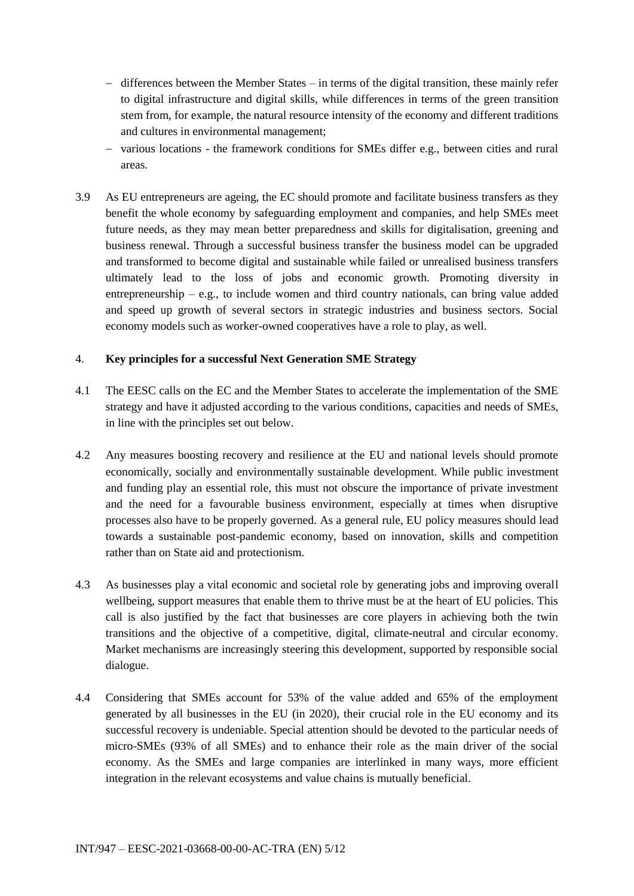- $-$  differences between the Member States  $-$  in terms of the digital transition, these mainly refer to digital infrastructure and digital skills, while differences in terms of the green transition stem from, for example, the natural resource intensity of the economy and different traditions and cultures in environmental management;
- various locations the framework conditions for SMEs differ e.g., between cities and rural areas.
- 3.9 As EU entrepreneurs are ageing, the EC should promote and facilitate business transfers as they benefit the whole economy by safeguarding employment and companies, and help SMEs meet future needs, as they may mean better preparedness and skills for digitalisation, greening and business renewal. Through a successful business transfer the business model can be upgraded and transformed to become digital and sustainable while failed or unrealised business transfers ultimately lead to the loss of jobs and economic growth. Promoting diversity in entrepreneurship – e.g., to include women and third country nationals, can bring value added and speed up growth of several sectors in strategic industries and business sectors. Social economy models such as worker-owned cooperatives have a role to play, as well.

#### 4. **Key principles for a successful Next Generation SME Strategy**

- 4.1 The EESC calls on the EC and the Member States to accelerate the implementation of the SME strategy and have it adjusted according to the various conditions, capacities and needs of SMEs, in line with the principles set out below.
- 4.2 Any measures boosting recovery and resilience at the EU and national levels should promote economically, socially and environmentally sustainable development. While public investment and funding play an essential role, this must not obscure the importance of private investment and the need for a favourable business environment, especially at times when disruptive processes also have to be properly governed. As a general rule, EU policy measures should lead towards a sustainable post-pandemic economy, based on innovation, skills and competition rather than on State aid and protectionism.
- 4.3 As businesses play a vital economic and societal role by generating jobs and improving overall wellbeing, support measures that enable them to thrive must be at the heart of EU policies. This call is also justified by the fact that businesses are core players in achieving both the twin transitions and the objective of a competitive, digital, climate-neutral and circular economy. Market mechanisms are increasingly steering this development, supported by responsible social dialogue.
- 4.4 Considering that SMEs account for 53% of the value added and 65% of the employment generated by all businesses in the EU (in 2020), their crucial role in the EU economy and its successful recovery is undeniable. Special attention should be devoted to the particular needs of micro-SMEs (93% of all SMEs) and to enhance their role as the main driver of the social economy. As the SMEs and large companies are interlinked in many ways, more efficient integration in the relevant ecosystems and value chains is mutually beneficial.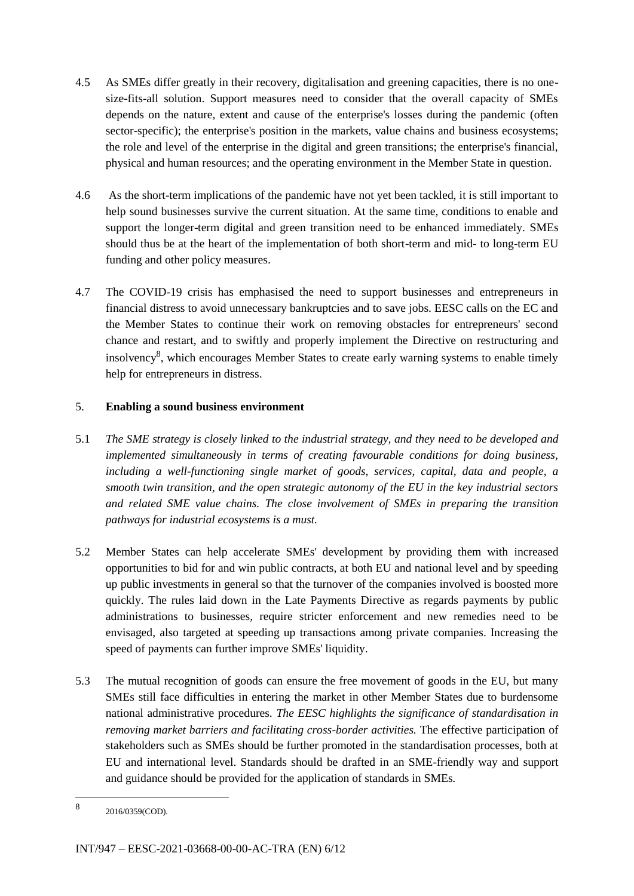- 4.5 As SMEs differ greatly in their recovery, digitalisation and greening capacities, there is no onesize-fits-all solution. Support measures need to consider that the overall capacity of SMEs depends on the nature, extent and cause of the enterprise's losses during the pandemic (often sector-specific); the enterprise's position in the markets, value chains and business ecosystems; the role and level of the enterprise in the digital and green transitions; the enterprise's financial, physical and human resources; and the operating environment in the Member State in question.
- 4.6 As the short-term implications of the pandemic have not yet been tackled, it is still important to help sound businesses survive the current situation. At the same time, conditions to enable and support the longer-term digital and green transition need to be enhanced immediately. SMEs should thus be at the heart of the implementation of both short-term and mid- to long-term EU funding and other policy measures.
- 4.7 The COVID-19 crisis has emphasised the need to support businesses and entrepreneurs in financial distress to avoid unnecessary bankruptcies and to save jobs. EESC calls on the EC and the Member States to continue their work on removing obstacles for entrepreneurs' second chance and restart, and to swiftly and properly implement the Directive on restructuring and insolvency<sup>8</sup>, which encourages Member States to create early warning systems to enable timely help for entrepreneurs in distress.

# 5. **Enabling a sound business environment**

- 5.1 *The SME strategy is closely linked to the industrial strategy, and they need to be developed and implemented simultaneously in terms of creating favourable conditions for doing business, including a well-functioning single market of goods, services, capital, data and people, a smooth twin transition, and the open strategic autonomy of the EU in the key industrial sectors and related SME value chains. The close involvement of SMEs in preparing the transition pathways for industrial ecosystems is a must.*
- 5.2 Member States can help accelerate SMEs' development by providing them with increased opportunities to bid for and win public contracts, at both EU and national level and by speeding up public investments in general so that the turnover of the companies involved is boosted more quickly. The rules laid down in the Late Payments Directive as regards payments by public administrations to businesses, require stricter enforcement and new remedies need to be envisaged, also targeted at speeding up transactions among private companies. Increasing the speed of payments can further improve SMEs' liquidity.
- 5.3 The mutual recognition of goods can ensure the free movement of goods in the EU, but many SMEs still face difficulties in entering the market in other Member States due to burdensome national administrative procedures. *The EESC highlights the significance of standardisation in removing market barriers and facilitating cross-border activities.* The effective participation of stakeholders such as SMEs should be further promoted in the standardisation processes, both at EU and international level. Standards should be drafted in an SME-friendly way and support and guidance should be provided for the application of standards in SMEs.

<sup>8</sup> 2016/0359(COD).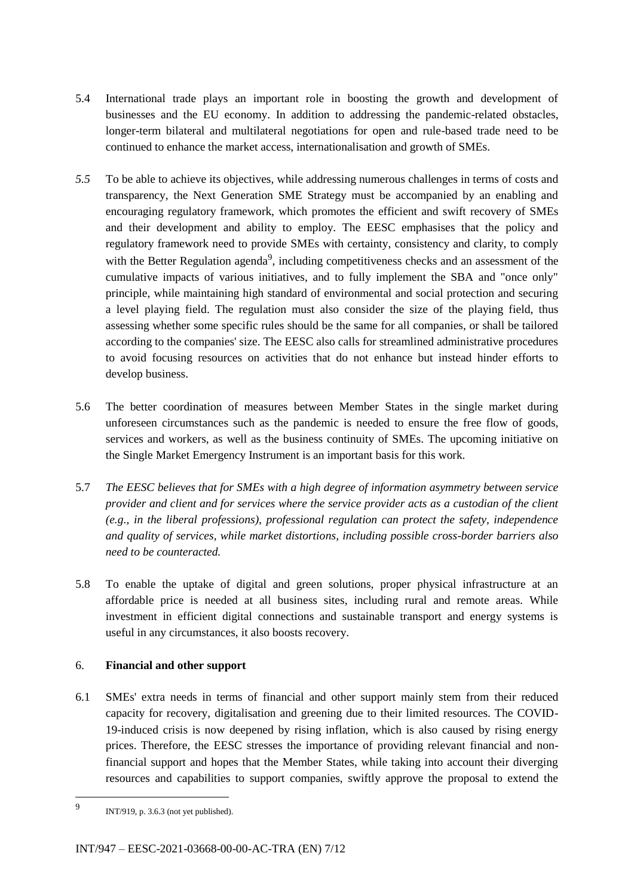- 5.4 International trade plays an important role in boosting the growth and development of businesses and the EU economy. In addition to addressing the pandemic-related obstacles, longer-term bilateral and multilateral negotiations for open and rule-based trade need to be continued to enhance the market access, internationalisation and growth of SMEs.
- *5.5* To be able to achieve its objectives, while addressing numerous challenges in terms of costs and transparency, the Next Generation SME Strategy must be accompanied by an enabling and encouraging regulatory framework, which promotes the efficient and swift recovery of SMEs and their development and ability to employ. The EESC emphasises that the policy and regulatory framework need to provide SMEs with certainty, consistency and clarity, to comply with the Better Regulation agenda<sup>9</sup>, including competitiveness checks and an assessment of the cumulative impacts of various initiatives, and to fully implement the SBA and "once only" principle, while maintaining high standard of environmental and social protection and securing a level playing field. The regulation must also consider the size of the playing field, thus assessing whether some specific rules should be the same for all companies, or shall be tailored according to the companies' size. The EESC also calls for streamlined administrative procedures to avoid focusing resources on activities that do not enhance but instead hinder efforts to develop business.
- 5.6 The better coordination of measures between Member States in the single market during unforeseen circumstances such as the pandemic is needed to ensure the free flow of goods, services and workers, as well as the business continuity of SMEs. The upcoming initiative on the Single Market Emergency Instrument is an important basis for this work.
- 5.7 *The EESC believes that for SMEs with a high degree of information asymmetry between service provider and client and for services where the service provider acts as a custodian of the client (e.g., in the liberal professions), professional regulation can protect the safety, independence and quality of services, while market distortions, including possible cross-border barriers also need to be counteracted.*
- 5.8 To enable the uptake of digital and green solutions, proper physical infrastructure at an affordable price is needed at all business sites, including rural and remote areas. While investment in efficient digital connections and sustainable transport and energy systems is useful in any circumstances, it also boosts recovery.

# 6. **Financial and other support**

6.1 SMEs' extra needs in terms of financial and other support mainly stem from their reduced capacity for recovery, digitalisation and greening due to their limited resources. The COVID-19-induced crisis is now deepened by rising inflation, which is also caused by rising energy prices. Therefore, the EESC stresses the importance of providing relevant financial and nonfinancial support and hopes that the Member States, while taking into account their diverging resources and capabilities to support companies, swiftly approve the proposal to extend the

<sup>9</sup> INT/919, p. 3.6.3 (not yet published).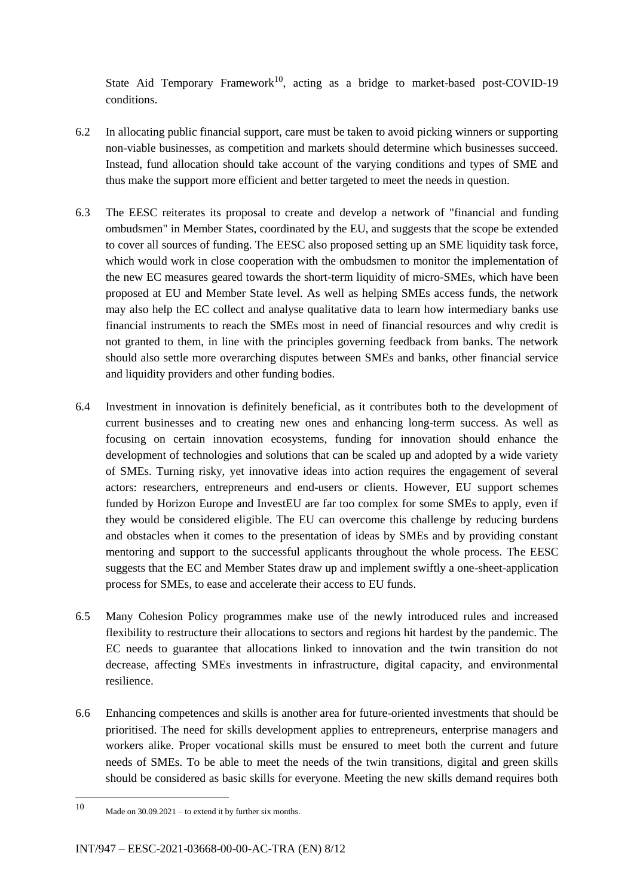State Aid Temporary Framework<sup>10</sup>, acting as a bridge to market-based post-COVID-19 conditions.

- 6.2 In allocating public financial support, care must be taken to avoid picking winners or supporting non-viable businesses, as competition and markets should determine which businesses succeed. Instead, fund allocation should take account of the varying conditions and types of SME and thus make the support more efficient and better targeted to meet the needs in question.
- 6.3 The EESC reiterates its proposal to create and develop a network of "financial and funding ombudsmen" in Member States, coordinated by the EU, and suggests that the scope be extended to cover all sources of funding. The EESC also proposed setting up an SME liquidity task force, which would work in close cooperation with the ombudsmen to monitor the implementation of the new EC measures geared towards the short-term liquidity of micro-SMEs, which have been proposed at EU and Member State level. As well as helping SMEs access funds, the network may also help the EC collect and analyse qualitative data to learn how intermediary banks use financial instruments to reach the SMEs most in need of financial resources and why credit is not granted to them, in line with the principles governing feedback from banks. The network should also settle more overarching disputes between SMEs and banks, other financial service and liquidity providers and other funding bodies.
- 6.4 Investment in innovation is definitely beneficial, as it contributes both to the development of current businesses and to creating new ones and enhancing long-term success. As well as focusing on certain innovation ecosystems, funding for innovation should enhance the development of technologies and solutions that can be scaled up and adopted by a wide variety of SMEs. Turning risky, yet innovative ideas into action requires the engagement of several actors: researchers, entrepreneurs and end-users or clients. However, EU support schemes funded by Horizon Europe and InvestEU are far too complex for some SMEs to apply, even if they would be considered eligible. The EU can overcome this challenge by reducing burdens and obstacles when it comes to the presentation of ideas by SMEs and by providing constant mentoring and support to the successful applicants throughout the whole process. The EESC suggests that the EC and Member States draw up and implement swiftly a one-sheet-application process for SMEs, to ease and accelerate their access to EU funds.
- 6.5 Many Cohesion Policy programmes make use of the newly introduced rules and increased flexibility to restructure their allocations to sectors and regions hit hardest by the pandemic. The EC needs to guarantee that allocations linked to innovation and the twin transition do not decrease, affecting SMEs investments in infrastructure, digital capacity, and environmental resilience.
- 6.6 Enhancing competences and skills is another area for future-oriented investments that should be prioritised. The need for skills development applies to entrepreneurs, enterprise managers and workers alike. Proper vocational skills must be ensured to meet both the current and future needs of SMEs. To be able to meet the needs of the twin transitions, digital and green skills should be considered as basic skills for everyone. Meeting the new skills demand requires both

<sup>10</sup> Made on  $30.09.2021$  – to extend it by further six months.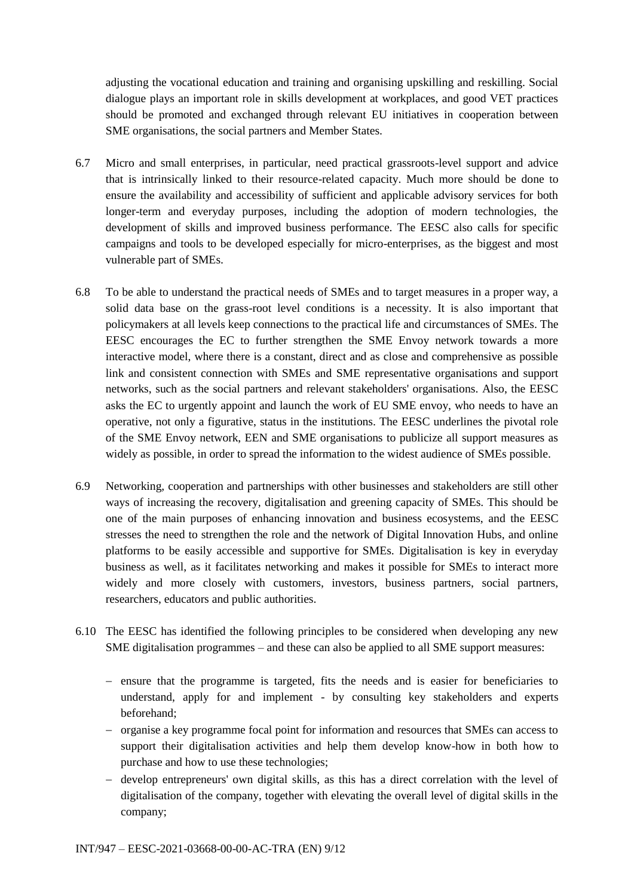adjusting the vocational education and training and organising upskilling and reskilling. Social dialogue plays an important role in skills development at workplaces, and good VET practices should be promoted and exchanged through relevant EU initiatives in cooperation between SME organisations, the social partners and Member States.

- 6.7 Micro and small enterprises, in particular, need practical grassroots-level support and advice that is intrinsically linked to their resource-related capacity. Much more should be done to ensure the availability and accessibility of sufficient and applicable advisory services for both longer-term and everyday purposes, including the adoption of modern technologies, the development of skills and improved business performance. The EESC also calls for specific campaigns and tools to be developed especially for micro-enterprises, as the biggest and most vulnerable part of SMEs.
- 6.8 To be able to understand the practical needs of SMEs and to target measures in a proper way, a solid data base on the grass-root level conditions is a necessity. It is also important that policymakers at all levels keep connections to the practical life and circumstances of SMEs. The EESC encourages the EC to further strengthen the SME Envoy network towards a more interactive model, where there is a constant, direct and as close and comprehensive as possible link and consistent connection with SMEs and SME representative organisations and support networks, such as the social partners and relevant stakeholders' organisations. Also, the EESC asks the EC to urgently appoint and launch the work of EU SME envoy, who needs to have an operative, not only a figurative, status in the institutions. The EESC underlines the pivotal role of the SME Envoy network, EEN and SME organisations to publicize all support measures as widely as possible, in order to spread the information to the widest audience of SMEs possible.
- 6.9 Networking, cooperation and partnerships with other businesses and stakeholders are still other ways of increasing the recovery, digitalisation and greening capacity of SMEs. This should be one of the main purposes of enhancing innovation and business ecosystems, and the EESC stresses the need to strengthen the role and the network of Digital Innovation Hubs, and online platforms to be easily accessible and supportive for SMEs. Digitalisation is key in everyday business as well, as it facilitates networking and makes it possible for SMEs to interact more widely and more closely with customers, investors, business partners, social partners, researchers, educators and public authorities.
- 6.10 The EESC has identified the following principles to be considered when developing any new SME digitalisation programmes – and these can also be applied to all SME support measures:
	- ensure that the programme is targeted, fits the needs and is easier for beneficiaries to understand, apply for and implement - by consulting key stakeholders and experts beforehand;
	- organise a key programme focal point for information and resources that SMEs can access to support their digitalisation activities and help them develop know-how in both how to purchase and how to use these technologies;
	- develop entrepreneurs' own digital skills, as this has a direct correlation with the level of digitalisation of the company, together with elevating the overall level of digital skills in the company;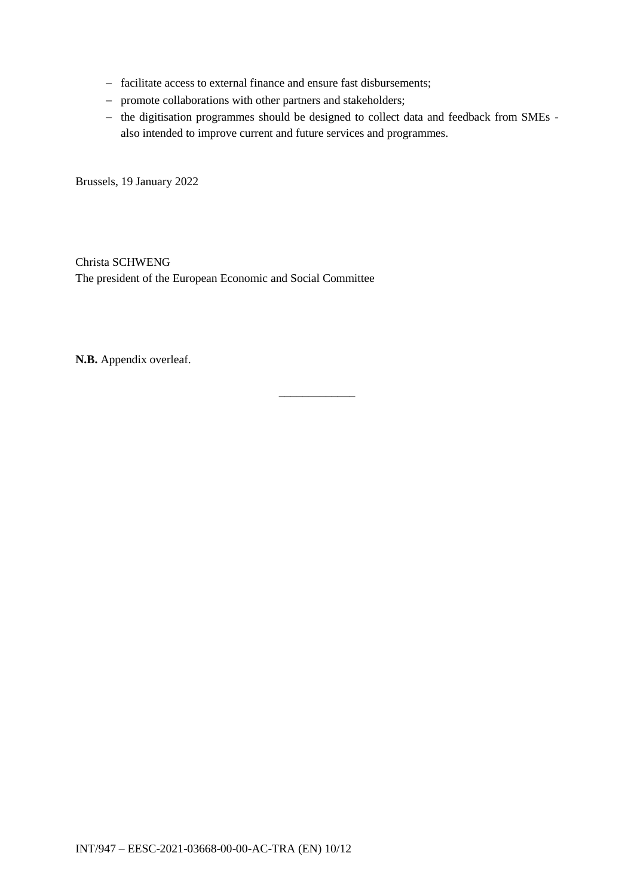- facilitate access to external finance and ensure fast disbursements;
- promote collaborations with other partners and stakeholders;
- the digitisation programmes should be designed to collect data and feedback from SMEs also intended to improve current and future services and programmes.

Brussels, 19 January 2022

Christa SCHWENG The president of the European Economic and Social Committee

**N.B.** Appendix overleaf.

\_\_\_\_\_\_\_\_\_\_\_\_\_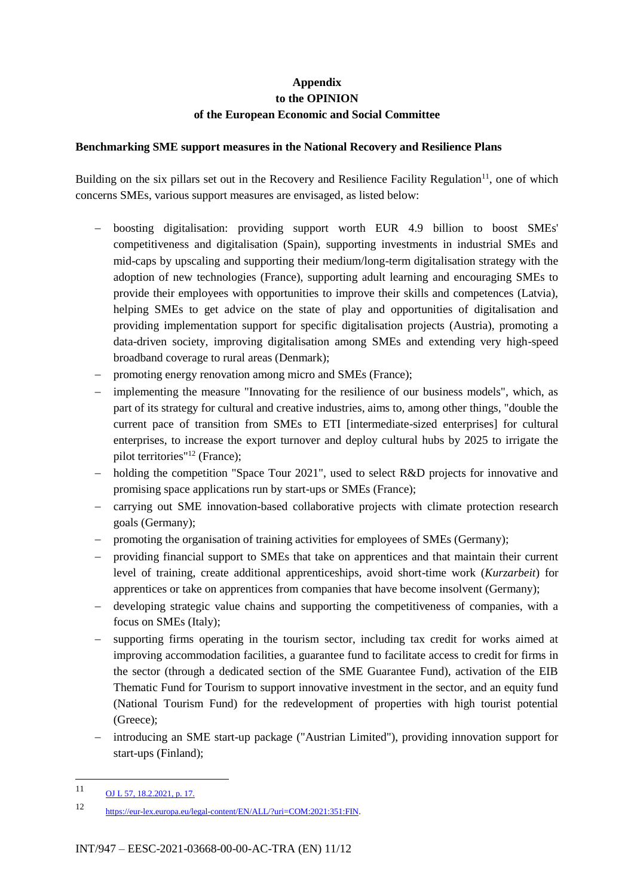# **Appendix to the OPINION of the European Economic and Social Committee**

#### **Benchmarking SME support measures in the National Recovery and Resilience Plans**

Building on the six pillars set out in the Recovery and Resilience Facility Regulation<sup>11</sup>, one of which concerns SMEs, various support measures are envisaged, as listed below:

- boosting digitalisation: providing support worth EUR 4.9 billion to boost SMEs' competitiveness and digitalisation (Spain), supporting investments in industrial SMEs and mid-caps by upscaling and supporting their medium/long-term digitalisation strategy with the adoption of new technologies (France), supporting adult learning and encouraging SMEs to provide their employees with opportunities to improve their skills and competences (Latvia), helping SMEs to get advice on the state of play and opportunities of digitalisation and providing implementation support for specific digitalisation projects (Austria), promoting a data-driven society, improving digitalisation among SMEs and extending very high-speed broadband coverage to rural areas (Denmark);
- promoting energy renovation among micro and SMEs (France);
- implementing the measure "Innovating for the resilience of our business models", which, as part of its strategy for cultural and creative industries, aims to, among other things, "double the current pace of transition from SMEs to ETI [intermediate-sized enterprises] for cultural enterprises, to increase the export turnover and deploy cultural hubs by 2025 to irrigate the pilot territories"<sup>12</sup> (France);
- holding the competition "Space Tour 2021", used to select R&D projects for innovative and promising space applications run by start-ups or SMEs (France);
- carrying out SME innovation-based collaborative projects with climate protection research goals (Germany);
- promoting the organisation of training activities for employees of SMEs (Germany);
- providing financial support to SMEs that take on apprentices and that maintain their current level of training, create additional apprenticeships, avoid short-time work (*Kurzarbeit*) for apprentices or take on apprentices from companies that have become insolvent (Germany);
- developing strategic value chains and supporting the competitiveness of companies, with a focus on SMEs (Italy);
- supporting firms operating in the tourism sector, including tax credit for works aimed at improving accommodation facilities, a guarantee fund to facilitate access to credit for firms in the sector (through a dedicated section of the SME Guarantee Fund), activation of the EIB Thematic Fund for Tourism to support innovative investment in the sector, and an equity fund (National Tourism Fund) for the redevelopment of properties with high tourist potential (Greece);
- introducing an SME start-up package ("Austrian Limited"), providing innovation support for start-ups (Finland);

 $11$ [OJ L 57, 18.2.2021, p. 17.](https://eur-lex.europa.eu/eli/reg/2021/241/oj)

<sup>12</sup> [https://eur-lex.europa.eu/legal-content/EN/ALL/?uri=COM:2021:351:FIN.](https://eur-lex.europa.eu/legal-content/EN/ALL/?uri=COM:2021:351:FIN)